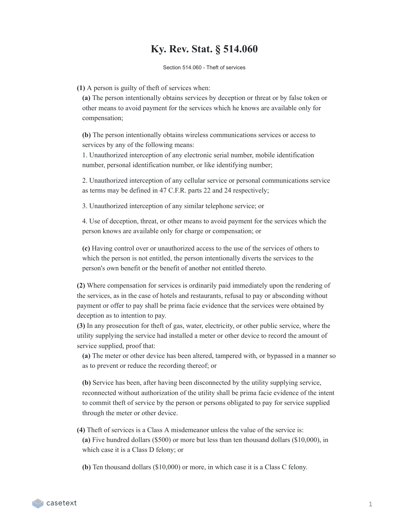## **Ky. Rev. Stat. § 514.060**

Section 514.060 - Theft of services

**(1)** A person is guilty of theft of services when:

**(a)** The person intentionally obtains services by deception or threat or by false token or other means to avoid payment for the services which he knows are available only for compensation;

**(b)** The person intentionally obtains wireless communications services or access to services by any of the following means:

1. Unauthorized interception of any electronic serial number, mobile identification number, personal identification number, or like identifying number;

2. Unauthorized interception of any cellular service or personal communications service as terms may be defined in 47 C.F.R. parts 22 and 24 respectively;

3. Unauthorized interception of any similar telephone service; or

4. Use of deception, threat, or other means to avoid payment for the services which the person knows are available only for charge or compensation; or

**(c)** Having control over or unauthorized access to the use of the services of others to which the person is not entitled, the person intentionally diverts the services to the person's own benefit or the benefit of another not entitled thereto.

**(2)** Where compensation for services is ordinarily paid immediately upon the rendering of the services, as in the case of hotels and restaurants, refusal to pay or absconding without payment or offer to pay shall be prima facie evidence that the services were obtained by deception as to intention to pay.

**(3)** In any prosecution for theft of gas, water, electricity, or other public service, where the utility supplying the service had installed a meter or other device to record the amount of service supplied, proof that:

**(a)** The meter or other device has been altered, tampered with, or bypassed in a manner so as to prevent or reduce the recording thereof; or

**(b)** Service has been, after having been disconnected by the utility supplying service, reconnected without authorization of the utility shall be prima facie evidence of the intent to commit theft of service by the person or persons obligated to pay for service supplied through the meter or other device.

**(4)** Theft of services is a Class A misdemeanor unless the value of the service is: **(a)** Five hundred dollars (\$500) or more but less than ten thousand dollars (\$10,000), in which case it is a Class D felony; or

**(b)** Ten thousand dollars (\$10,000) or more, in which case it is a Class C felony.